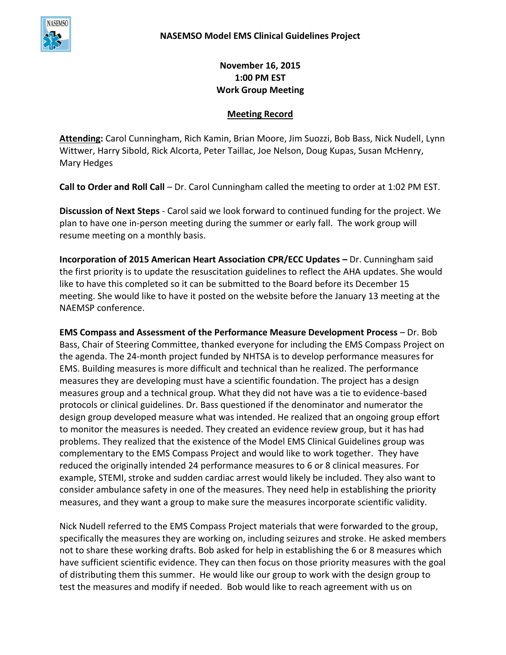

**November 16, 2015 1:00 PM EST Work Group Meeting**

## **Meeting Record**

**Attending:** Carol Cunningham, Rich Kamin, Brian Moore, Jim Suozzi, Bob Bass, Nick Nudell, Lynn Wittwer, Harry Sibold, Rick Alcorta, Peter Taillac, Joe Nelson, Doug Kupas, Susan McHenry, Mary Hedges

**Call to Order and Roll Call** – Dr. Carol Cunningham called the meeting to order at 1:02 PM EST.

**Discussion of Next Steps** - Carol said we look forward to continued funding for the project. We plan to have one in-person meeting during the summer or early fall. The work group will resume meeting on a monthly basis.

**Incorporation of 2015 American Heart Association CPR/ECC Updates –** Dr. Cunningham said the first priority is to update the resuscitation guidelines to reflect the AHA updates. She would like to have this completed so it can be submitted to the Board before its December 15 meeting. She would like to have it posted on the website before the January 13 meeting at the NAEMSP conference.

**EMS Compass and Assessment of the Performance Measure Development Process** – Dr. Bob Bass, Chair of Steering Committee, thanked everyone for including the EMS Compass Project on the agenda. The 24-month project funded by NHTSA is to develop performance measures for EMS. Building measures is more difficult and technical than he realized. The performance measures they are developing must have a scientific foundation. The project has a design measures group and a technical group. What they did not have was a tie to evidence-based protocols or clinical guidelines. Dr. Bass questioned if the denominator and numerator the design group developed measure what was intended. He realized that an ongoing group effort to monitor the measures is needed. They created an evidence review group, but it has had problems. They realized that the existence of the Model EMS Clinical Guidelines group was complementary to the EMS Compass Project and would like to work together. They have reduced the originally intended 24 performance measures to 6 or 8 clinical measures. For example, STEMI, stroke and sudden cardiac arrest would likely be included. They also want to consider ambulance safety in one of the measures. They need help in establishing the priority measures, and they want a group to make sure the measures incorporate scientific validity.

Nick Nudell referred to the EMS Compass Project materials that were forwarded to the group, specifically the measures they are working on, including seizures and stroke. He asked members not to share these working drafts. Bob asked for help in establishing the 6 or 8 measures which have sufficient scientific evidence. They can then focus on those priority measures with the goal of distributing them this summer. He would like our group to work with the design group to test the measures and modify if needed. Bob would like to reach agreement with us on